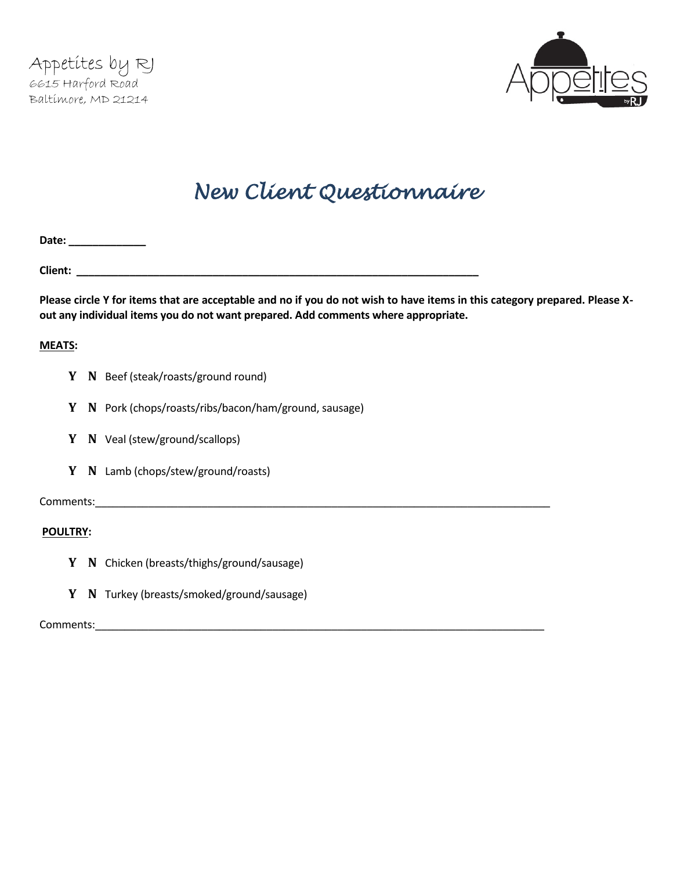

# *New Client Questionnaire*

**Date: \_\_\_\_\_\_\_\_\_\_\_\_\_**

**Client: \_\_\_\_\_\_\_\_\_\_\_\_\_\_\_\_\_\_\_\_\_\_\_\_\_\_\_\_\_\_\_\_\_\_\_\_\_\_\_\_\_\_\_\_\_\_\_\_\_\_\_\_\_\_\_\_\_\_\_\_\_\_\_\_\_\_\_\_**

**Please circle Y for items that are acceptable and no if you do not wish to have items in this category prepared. Please Xout any individual items you do not want prepared. Add comments where appropriate.** 

## **MEATS:**

- **Y N** Beef (steak/roasts/ground round)
- **Y N** Pork (chops/roasts/ribs/bacon/ham/ground, sausage)
- **Y N** Veal (stew/ground/scallops)
- **Y N** Lamb (chops/stew/ground/roasts)

Comments:\_\_\_\_\_\_\_\_\_\_\_\_\_\_\_\_\_\_\_\_\_\_\_\_\_\_\_\_\_\_\_\_\_\_\_\_\_\_\_\_\_\_\_\_\_\_\_\_\_\_\_\_\_\_\_\_\_\_\_\_\_\_\_\_\_\_\_\_\_\_\_\_\_\_\_\_\_

## **POULTRY:**

- **Y N** Chicken (breasts/thighs/ground/sausage)
- **Y N** Turkey (breasts/smoked/ground/sausage)

Comments: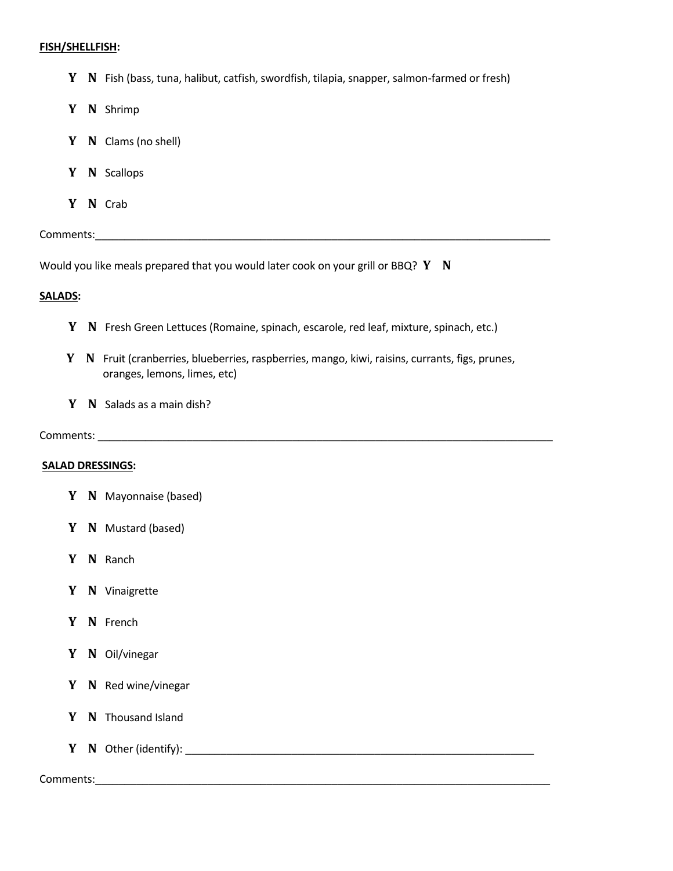#### **FISH/SHELLFISH:**

**Y N** Fish (bass, tuna, halibut, catfish, swordfish, tilapia, snapper, salmon-farmed or fresh)

- **Y N** Shrimp
- **Y N** Clams (no shell)
- **Y N** Scallops
- **Y N** Crab

Comments:\_\_\_\_\_\_\_\_\_\_\_\_\_\_\_\_\_\_\_\_\_\_\_\_\_\_\_\_\_\_\_\_\_\_\_\_\_\_\_\_\_\_\_\_\_\_\_\_\_\_\_\_\_\_\_\_\_\_\_\_\_\_\_\_\_\_\_\_\_\_\_\_\_\_\_\_\_

Would you like meals prepared that you would later cook on your grill or BBQ? **Y N**

## **SALADS:**

- **Y N** Fresh Green Lettuces (Romaine, spinach, escarole, red leaf, mixture, spinach, etc.)
- **Y N** Fruit (cranberries, blueberries, raspberries, mango, kiwi, raisins, currants, figs, prunes, oranges, lemons, limes, etc)
- **Y N** Salads as a main dish?

## Comments:

## **SALAD DRESSINGS:**

- **Y N** Mayonnaise (based)
- **Y N** Mustard (based)
- **Y N** Ranch
- **Y N** Vinaigrette
- **Y N** French
- **Y N** Oil/vinegar
- **Y N** Red wine/vinegar
- **Y N** Thousand Island
- **Y N** Other (identify): \_\_\_\_\_\_\_\_\_\_\_\_\_\_\_\_\_\_\_\_\_\_\_\_\_\_\_\_\_\_\_\_\_\_\_\_\_\_\_\_\_\_\_\_\_\_\_\_\_\_\_\_\_\_\_\_\_\_\_

## Comments:\_\_\_\_\_\_\_\_\_\_\_\_\_\_\_\_\_\_\_\_\_\_\_\_\_\_\_\_\_\_\_\_\_\_\_\_\_\_\_\_\_\_\_\_\_\_\_\_\_\_\_\_\_\_\_\_\_\_\_\_\_\_\_\_\_\_\_\_\_\_\_\_\_\_\_\_\_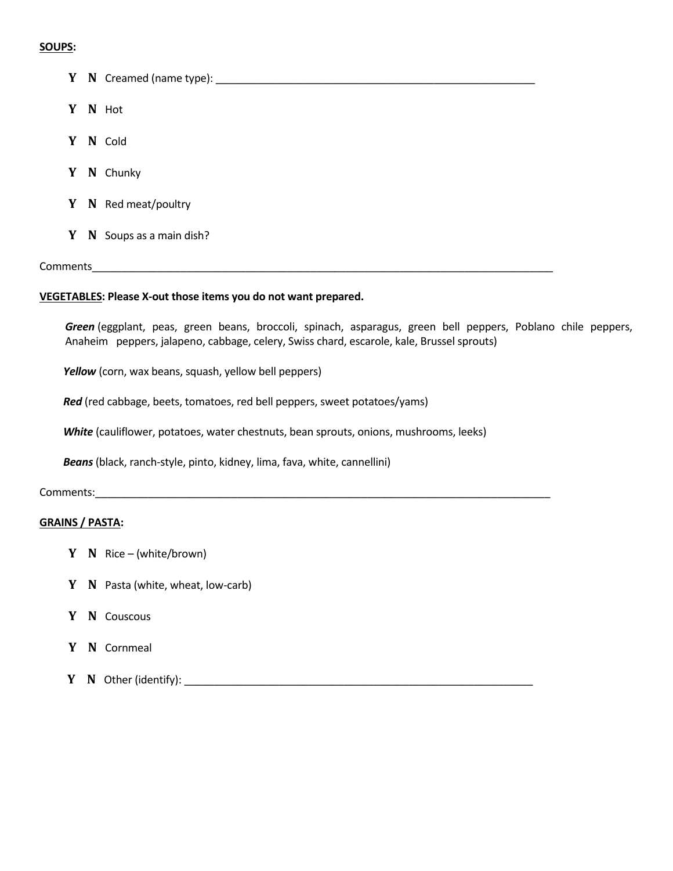## **SOUPS:**

|   | Y N Creamed (name type): ___________ |
|---|--------------------------------------|
|   | Y N Hot                              |
| Y | N Cold                               |
|   | Y N Chunky                           |
|   | Y N Red meat/poultry                 |
| Y | $N$ Soups as a main dish?            |

### Comments\_\_\_\_\_\_\_\_\_\_\_\_\_\_\_\_\_\_\_\_\_\_\_\_\_\_\_\_\_\_\_\_\_\_\_\_\_\_\_\_\_\_\_\_\_\_\_\_\_\_\_\_\_\_\_\_\_\_\_\_\_\_\_\_\_\_\_\_\_\_\_\_\_\_\_\_\_\_

#### **VEGETABLES: Please X-out those items you do not want prepared.**

*Green* (eggplant, peas, green beans, broccoli, spinach, asparagus, green bell peppers, Poblano chile peppers, Anaheim peppers, jalapeno, cabbage, celery, Swiss chard, escarole, kale, Brussel sprouts)

*Yellow* (corn, wax beans, squash, yellow bell peppers)

*Red* (red cabbage, beets, tomatoes, red bell peppers, sweet potatoes/yams)

*White* (cauliflower, potatoes, water chestnuts, bean sprouts, onions, mushrooms, leeks)

*Beans* (black, ranch-style, pinto, kidney, lima, fava, white, cannellini)

## Comments:\_\_\_\_\_\_\_\_\_\_\_\_\_\_\_\_\_\_\_\_\_\_\_\_\_\_\_\_\_\_\_\_\_\_\_\_\_\_\_\_\_\_\_\_\_\_\_\_\_\_\_\_\_\_\_\_\_\_\_\_\_\_\_\_\_\_\_\_\_\_\_\_\_\_\_\_\_

## **GRAINS / PASTA:**

- **Y N** Rice (white/brown)
- **Y N** Pasta (white, wheat, low-carb)
- **Y N** Couscous
- **Y N** Cornmeal
- **Y N** Other (identify): \_\_\_\_\_\_\_\_\_\_\_\_\_\_\_\_\_\_\_\_\_\_\_\_\_\_\_\_\_\_\_\_\_\_\_\_\_\_\_\_\_\_\_\_\_\_\_\_\_\_\_\_\_\_\_\_\_\_\_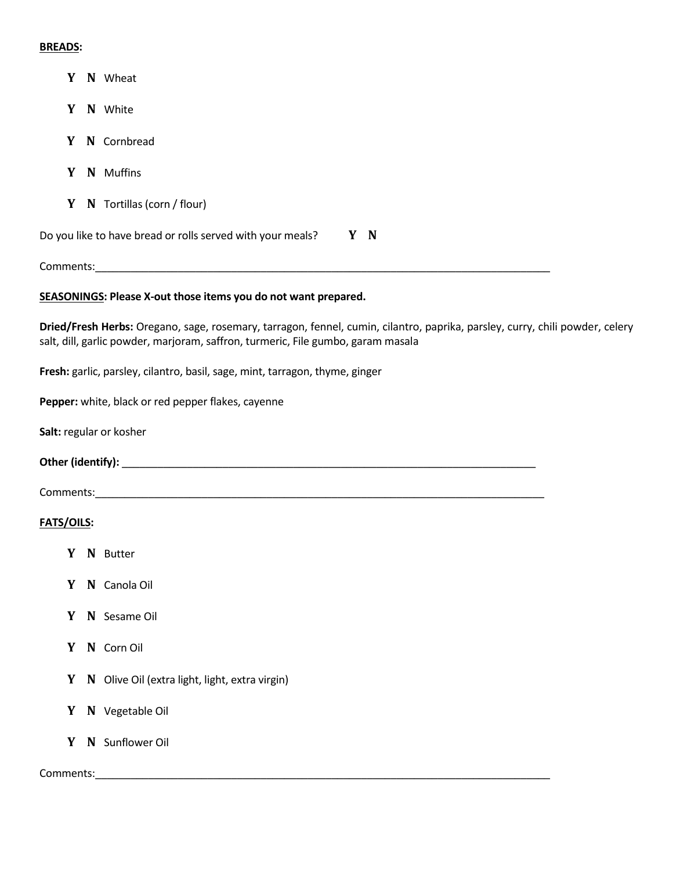## **BREADS:**

- **Y N** Wheat
- **Y N** White
- **Y N** Cornbread
- **Y N** Muffins
- **Y N** Tortillas (corn / flour)

Do you like to have bread or rolls served with your meals? **Y N** 

Comments:\_\_\_\_\_\_\_\_\_\_\_\_\_\_\_\_\_\_\_\_\_\_\_\_\_\_\_\_\_\_\_\_\_\_\_\_\_\_\_\_\_\_\_\_\_\_\_\_\_\_\_\_\_\_\_\_\_\_\_\_\_\_\_\_\_\_\_\_\_\_\_\_\_\_\_\_\_

## **SEASONINGS: Please X-out those items you do not want prepared.**

**Dried/Fresh Herbs:** Oregano, sage, rosemary, tarragon, fennel, cumin, cilantro, paprika, parsley, curry, chili powder, celery salt, dill, garlic powder, marjoram, saffron, turmeric, File gumbo, garam masala

**Fresh:** garlic, parsley, cilantro, basil, sage, mint, tarragon, thyme, ginger

**Pepper:** white, black or red pepper flakes, cayenne

**Salt:** regular or kosher

**Other (identify):** \_\_\_\_\_\_\_\_\_\_\_\_\_\_\_\_\_\_\_\_\_\_\_\_\_\_\_\_\_\_\_\_\_\_\_\_\_\_\_\_\_\_\_\_\_\_\_\_\_\_\_\_\_\_\_\_\_\_\_\_\_\_\_\_\_\_\_\_\_\_

Comments:\_\_\_\_\_\_\_\_\_\_\_\_\_\_\_\_\_\_\_\_\_\_\_\_\_\_\_\_\_\_\_\_\_\_\_\_\_\_\_\_\_\_\_\_\_\_\_\_\_\_\_\_\_\_\_\_\_\_\_\_\_\_\_\_\_\_\_\_\_\_\_\_\_\_\_\_

## **FATS/OILS:**

- **Y N** Butter
- **Y N** Canola Oil
- **Y N** Sesame Oil
- **Y N** Corn Oil
- Y N Olive Oil (extra light, light, extra virgin)
- **Y N** Vegetable Oil
- **Y N** Sunflower Oil

## Comments:\_\_\_\_\_\_\_\_\_\_\_\_\_\_\_\_\_\_\_\_\_\_\_\_\_\_\_\_\_\_\_\_\_\_\_\_\_\_\_\_\_\_\_\_\_\_\_\_\_\_\_\_\_\_\_\_\_\_\_\_\_\_\_\_\_\_\_\_\_\_\_\_\_\_\_\_\_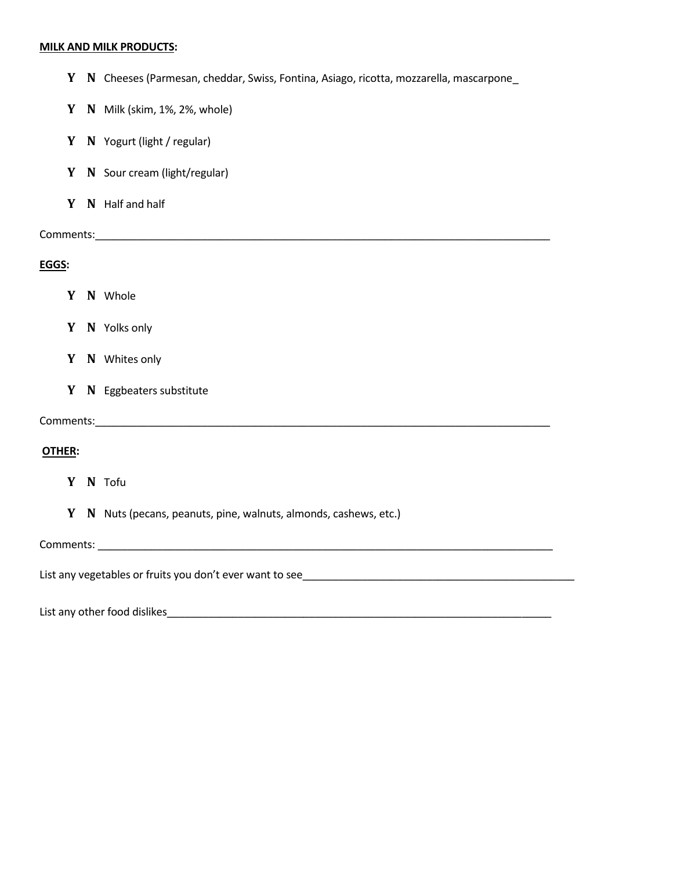#### **MILK AND MILK PRODUCTS:**

- **Y N** Cheeses (Parmesan, cheddar, Swiss, Fontina, Asiago, ricotta, mozzarella, mascarpone\_
- **Y N** Milk (skim, 1%, 2%, whole)
- **Y N** Yogurt (light / regular)
- **Y N** Sour cream (light/regular)
- **Y N** Half and half

Comments:\_\_\_\_\_\_\_\_\_\_\_\_\_\_\_\_\_\_\_\_\_\_\_\_\_\_\_\_\_\_\_\_\_\_\_\_\_\_\_\_\_\_\_\_\_\_\_\_\_\_\_\_\_\_\_\_\_\_\_\_\_\_\_\_\_\_\_\_\_\_\_\_\_\_\_\_\_

## **EGGS:**

- **Y N** Whole
- **Y N** Yolks only
- **Y N** Whites only
- **Y N** Eggbeaters substitute

Comments:\_\_\_\_\_\_\_\_\_\_\_\_\_\_\_\_\_\_\_\_\_\_\_\_\_\_\_\_\_\_\_\_\_\_\_\_\_\_\_\_\_\_\_\_\_\_\_\_\_\_\_\_\_\_\_\_\_\_\_\_\_\_\_\_\_\_\_\_\_\_\_\_\_\_\_\_\_

## **OTHER:**

- **Y N** Tofu
- **Y N** Nuts (pecans, peanuts, pine, walnuts, almonds, cashews, etc.)

Comments: \_\_\_\_\_\_\_\_\_\_\_\_\_\_\_\_\_\_\_\_\_\_\_\_\_\_\_\_\_\_\_\_\_\_\_\_\_\_\_\_\_\_\_\_\_\_\_\_\_\_\_\_\_\_\_\_\_\_\_\_\_\_\_\_\_\_\_\_\_\_\_\_\_\_\_\_\_

List any vegetables or fruits you don't ever want to see\_\_\_\_\_\_\_\_\_\_\_\_\_\_\_\_\_\_\_\_\_\_\_\_\_

List any other food dislikes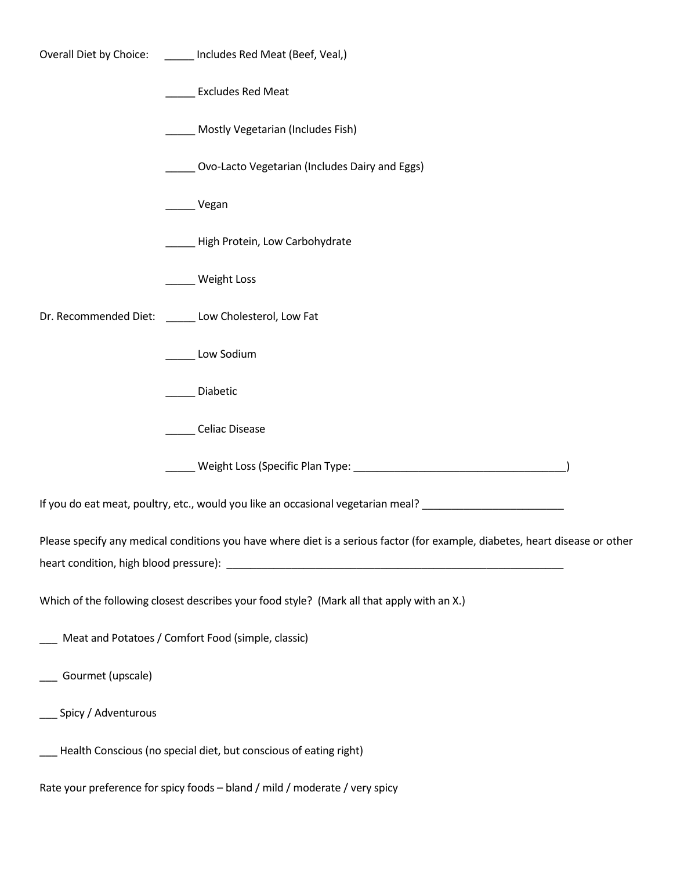|                                                                                                                              | Overall Diet by Choice: ______ Includes Red Meat (Beef, Veal,)                                                |  |  |  |  |  |
|------------------------------------------------------------------------------------------------------------------------------|---------------------------------------------------------------------------------------------------------------|--|--|--|--|--|
|                                                                                                                              | <b>Excludes Red Meat</b>                                                                                      |  |  |  |  |  |
|                                                                                                                              | Mostly Vegetarian (Includes Fish)                                                                             |  |  |  |  |  |
|                                                                                                                              | Ovo-Lacto Vegetarian (Includes Dairy and Eggs)                                                                |  |  |  |  |  |
|                                                                                                                              | __ Vegan                                                                                                      |  |  |  |  |  |
|                                                                                                                              | High Protein, Low Carbohydrate                                                                                |  |  |  |  |  |
|                                                                                                                              | Weight Loss                                                                                                   |  |  |  |  |  |
|                                                                                                                              | Dr. Recommended Diet: ______ Low Cholesterol, Low Fat                                                         |  |  |  |  |  |
|                                                                                                                              | Low Sodium                                                                                                    |  |  |  |  |  |
|                                                                                                                              | Diabetic                                                                                                      |  |  |  |  |  |
|                                                                                                                              | Celiac Disease                                                                                                |  |  |  |  |  |
|                                                                                                                              |                                                                                                               |  |  |  |  |  |
|                                                                                                                              | If you do eat meat, poultry, etc., would you like an occasional vegetarian meal? ____________________________ |  |  |  |  |  |
| Please specify any medical conditions you have where diet is a serious factor (for example, diabetes, heart disease or other |                                                                                                               |  |  |  |  |  |
| Which of the following closest describes your food style? (Mark all that apply with an X.)                                   |                                                                                                               |  |  |  |  |  |
| Meat and Potatoes / Comfort Food (simple, classic)                                                                           |                                                                                                               |  |  |  |  |  |
| ____ Gourmet (upscale)                                                                                                       |                                                                                                               |  |  |  |  |  |
| ___ Spicy / Adventurous                                                                                                      |                                                                                                               |  |  |  |  |  |
| Health Conscious (no special diet, but conscious of eating right)                                                            |                                                                                                               |  |  |  |  |  |
|                                                                                                                              | Rate your preference for spicy foods - bland / mild / moderate / very spicy                                   |  |  |  |  |  |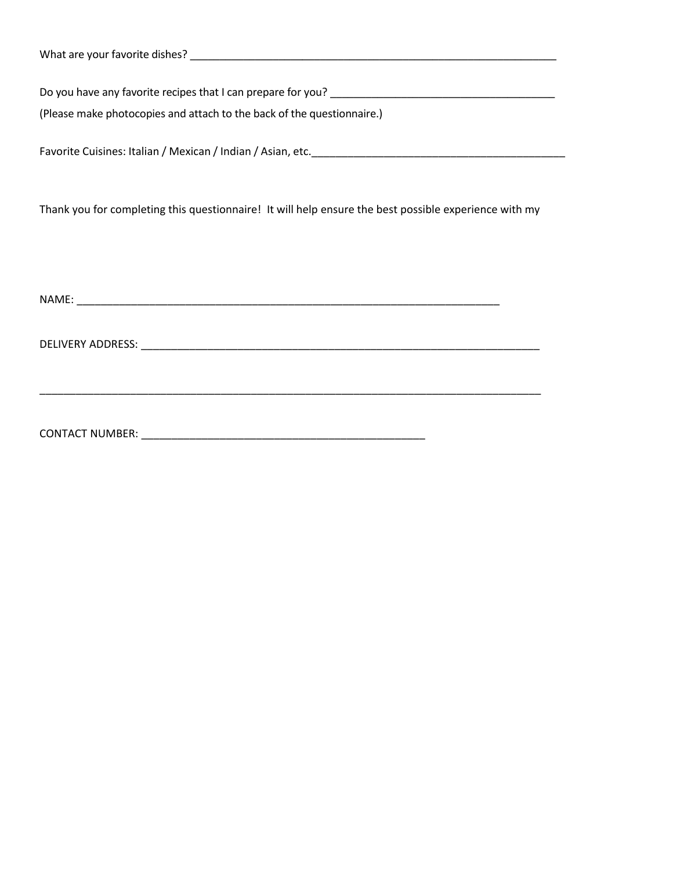| What are your favorite dishes? |  |  |  |
|--------------------------------|--|--|--|
|                                |  |  |  |

Do you have any favorite recipes that I can prepare for you? \_\_\_\_\_\_\_\_\_\_\_\_\_\_\_\_\_\_\_\_\_\_\_\_\_\_\_\_\_\_\_\_\_\_\_\_\_\_

(Please make photocopies and attach to the back of the questionnaire.)

Favorite Cuisines: Italian / Mexican / Indian / Asian, etc.\_\_\_\_\_\_\_\_\_\_\_\_\_\_\_\_\_\_\_\_\_\_\_\_\_\_\_\_\_\_\_\_\_\_\_\_\_\_\_\_\_\_

Thank you for completing this questionnaire! It will help ensure the best possible experience with my

\_\_\_\_\_\_\_\_\_\_\_\_\_\_\_\_\_\_\_\_\_\_\_\_\_\_\_\_\_\_\_\_\_\_\_\_\_\_\_\_\_\_\_\_\_\_\_\_\_\_\_\_\_\_\_\_\_\_\_\_\_\_\_\_\_\_\_\_\_\_\_\_\_\_\_\_\_\_\_\_\_\_\_

NAME: \_\_\_\_\_\_\_\_\_\_\_\_\_\_\_\_\_\_\_\_\_\_\_\_\_\_\_\_\_\_\_\_\_\_\_\_\_\_\_\_\_\_\_\_\_\_\_\_\_\_\_\_\_\_\_\_\_\_\_\_\_\_\_\_\_\_\_\_\_\_

DELIVERY ADDRESS: \_\_\_\_\_\_\_\_\_\_\_\_\_\_\_\_\_\_\_\_\_\_\_\_\_\_\_\_\_\_\_\_\_\_\_\_\_\_\_\_\_\_\_\_\_\_\_\_\_\_\_\_\_\_\_\_\_\_\_\_\_\_\_\_\_\_

CONTACT NUMBER: \_\_\_\_\_\_\_\_\_\_\_\_\_\_\_\_\_\_\_\_\_\_\_\_\_\_\_\_\_\_\_\_\_\_\_\_\_\_\_\_\_\_\_\_\_\_\_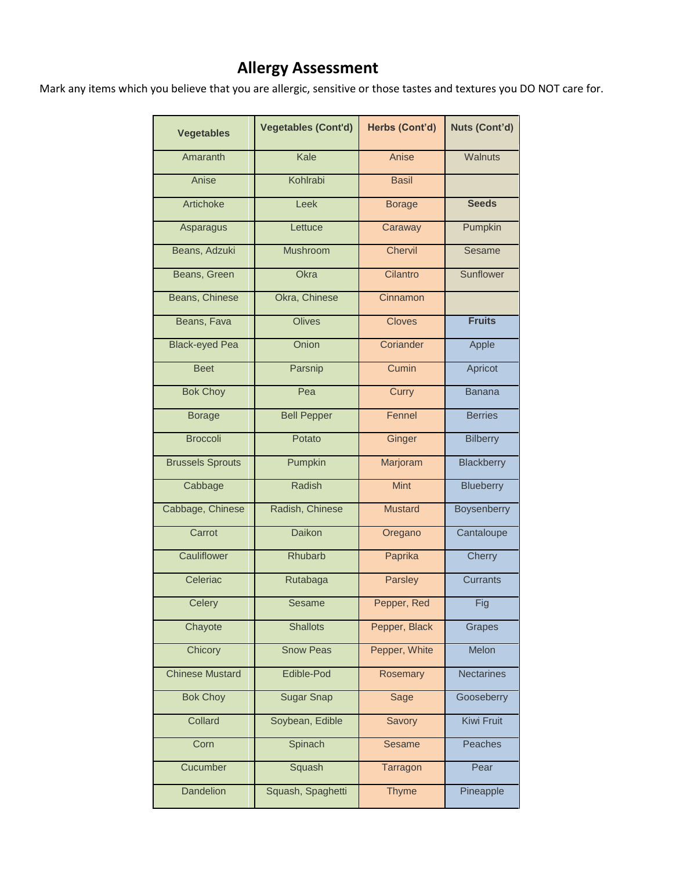## **Allergy Assessment**

Mark any items which you believe that you are allergic, sensitive or those tastes and textures you DO NOT care for.

| <b>Vegetables</b>       | <b>Vegetables (Cont'd)</b> | Herbs (Cont'd) | Nuts (Cont'd)     |
|-------------------------|----------------------------|----------------|-------------------|
| Amaranth                | Kale                       | Anise          | Walnuts           |
| Anise                   | Kohlrabi                   | <b>Basil</b>   |                   |
| Artichoke               | Leek                       | <b>Borage</b>  | <b>Seeds</b>      |
| Asparagus               | Lettuce                    | Caraway        | Pumpkin           |
| Beans, Adzuki           | <b>Mushroom</b>            | Chervil        | Sesame            |
| Beans, Green            | Okra                       | Cilantro       | Sunflower         |
| Beans, Chinese          | Okra, Chinese              | Cinnamon       |                   |
| Beans, Fava             | <b>Olives</b>              | <b>Cloves</b>  | <b>Fruits</b>     |
| <b>Black-eyed Pea</b>   | Onion                      | Coriander      | Apple             |
| <b>Beet</b>             | Parsnip                    | Cumin          | Apricot           |
| <b>Bok Choy</b>         | Pea                        | Curry          | <b>Banana</b>     |
| <b>Borage</b>           | <b>Bell Pepper</b>         | Fennel         | <b>Berries</b>    |
| <b>Broccoli</b>         | Potato                     | Ginger         | <b>Bilberry</b>   |
| <b>Brussels Sprouts</b> | Pumpkin                    | Marjoram       | <b>Blackberry</b> |
| Cabbage                 | Radish                     | <b>Mint</b>    | Blueberry         |
| Cabbage, Chinese        | Radish, Chinese            | <b>Mustard</b> | Boysenberry       |
| Carrot                  | <b>Daikon</b>              | Oregano        | Cantaloupe        |
| Cauliflower             | Rhubarb                    | Paprika        | Cherry            |
| Celeriac                | Rutabaga                   | Parsley        | <b>Currants</b>   |
| Celery                  | Sesame                     | Pepper, Red    | Fig               |
| Chayote                 | <b>Shallots</b>            | Pepper, Black  | Grapes            |
| Chicory                 | <b>Snow Peas</b>           | Pepper, White  | Melon             |
| <b>Chinese Mustard</b>  | Edible-Pod                 | Rosemary       | <b>Nectarines</b> |
| <b>Bok Choy</b>         | <b>Sugar Snap</b>          | Sage           | Gooseberry        |
| Collard                 | Soybean, Edible            | Savory         | Kiwi Fruit        |
| Corn                    | Spinach                    | <b>Sesame</b>  | Peaches           |
| Cucumber                | Squash                     | Tarragon       | Pear              |
| <b>Dandelion</b>        | Squash, Spaghetti          | <b>Thyme</b>   | Pineapple         |